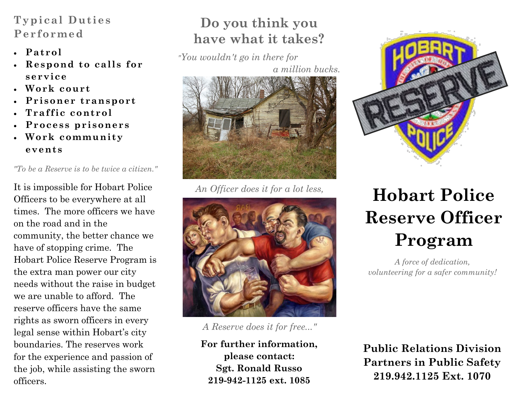# **Typical Duties Performed**

- **Patrol**
- **Respond to calls for service**
- **Work court**
- **Prisoner transport**
- **Traffic control**
- **Process prisoners**
- **Work community events**

*"To be a Reserve is to be twice a citizen."*

It is impossible for Hobart Police Officers to be everywhere at all times. The more officers we have on the road and in the community, the better chance we have of stopping crime. The Hobart Police Reserve Program is the extra man power our city needs without the raise in budget we are unable to afford. The reserve officers have the same rights as sworn officers in every legal sense within Hobart's city boundaries. The reserves work for the experience and passion of the job, while assisting the sworn officers.

# **Do you think you have what it takes?**

*"You wouldn't go in there for* 

*a million bucks.* 



*An Officer does it for a lot less,*



*A Reserve does it for free..."*

**For further information, please contact: Sgt. Ronald Russo 219-942-1125 ext. 1085**



# **Hobart Police Reserve Officer Program**

*A force of dedication, volunteering for a safer community!*

**Public Relations Division Partners in Public Safety 219.942.1125 Ext. 1070**